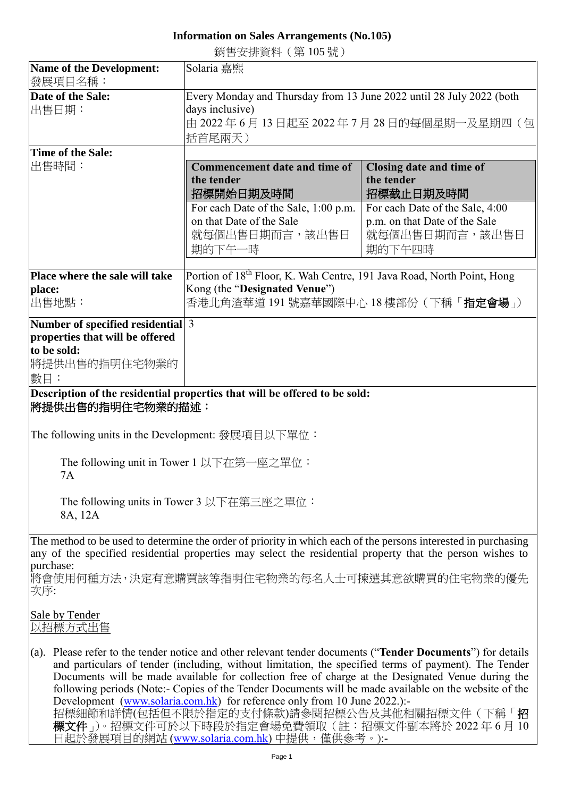## **Information on Sales Arrangements (No.105)**

銷售安排資料(第 105 號)

| <b>Name of the Development:</b>                                                                                                                                                                                                          | Solaria 嘉熙                                                                                                                                                                                                                                                                                                                                                                                                                                                                                                                                                                                                      |                                        |  |
|------------------------------------------------------------------------------------------------------------------------------------------------------------------------------------------------------------------------------------------|-----------------------------------------------------------------------------------------------------------------------------------------------------------------------------------------------------------------------------------------------------------------------------------------------------------------------------------------------------------------------------------------------------------------------------------------------------------------------------------------------------------------------------------------------------------------------------------------------------------------|----------------------------------------|--|
| 發展項目名稱:                                                                                                                                                                                                                                  |                                                                                                                                                                                                                                                                                                                                                                                                                                                                                                                                                                                                                 |                                        |  |
| Date of the Sale:                                                                                                                                                                                                                        | Every Monday and Thursday from 13 June 2022 until 28 July 2022 (both                                                                                                                                                                                                                                                                                                                                                                                                                                                                                                                                            |                                        |  |
| 出售日期:                                                                                                                                                                                                                                    | days inclusive)                                                                                                                                                                                                                                                                                                                                                                                                                                                                                                                                                                                                 |                                        |  |
|                                                                                                                                                                                                                                          |                                                                                                                                                                                                                                                                                                                                                                                                                                                                                                                                                                                                                 | 由 2022年6月13日起至 2022年7月28日的每個星期一及星期四 (包 |  |
|                                                                                                                                                                                                                                          | 括首尾兩天 )                                                                                                                                                                                                                                                                                                                                                                                                                                                                                                                                                                                                         |                                        |  |
| Time of the Sale:                                                                                                                                                                                                                        |                                                                                                                                                                                                                                                                                                                                                                                                                                                                                                                                                                                                                 |                                        |  |
| 出售時間:                                                                                                                                                                                                                                    | <b>Commencement date and time of</b>                                                                                                                                                                                                                                                                                                                                                                                                                                                                                                                                                                            | Closing date and time of               |  |
|                                                                                                                                                                                                                                          | the tender                                                                                                                                                                                                                                                                                                                                                                                                                                                                                                                                                                                                      | the tender                             |  |
|                                                                                                                                                                                                                                          | 招標開始日期及時間                                                                                                                                                                                                                                                                                                                                                                                                                                                                                                                                                                                                       | 招標截止日期及時間                              |  |
|                                                                                                                                                                                                                                          | For each Date of the Sale, 1:00 p.m.                                                                                                                                                                                                                                                                                                                                                                                                                                                                                                                                                                            | For each Date of the Sale, 4:00        |  |
|                                                                                                                                                                                                                                          | on that Date of the Sale                                                                                                                                                                                                                                                                                                                                                                                                                                                                                                                                                                                        | p.m. on that Date of the Sale          |  |
|                                                                                                                                                                                                                                          | 就每個出售日期而言,該出售日                                                                                                                                                                                                                                                                                                                                                                                                                                                                                                                                                                                                  | 就每個出售日期而言,該出售日                         |  |
|                                                                                                                                                                                                                                          | 期的下午一時                                                                                                                                                                                                                                                                                                                                                                                                                                                                                                                                                                                                          | 期的下午四時                                 |  |
|                                                                                                                                                                                                                                          |                                                                                                                                                                                                                                                                                                                                                                                                                                                                                                                                                                                                                 |                                        |  |
| Place where the sale will take                                                                                                                                                                                                           | Portion of 18 <sup>th</sup> Floor, K. Wah Centre, 191 Java Road, North Point, Hong                                                                                                                                                                                                                                                                                                                                                                                                                                                                                                                              |                                        |  |
| place:                                                                                                                                                                                                                                   | Kong (the "Designated Venue")                                                                                                                                                                                                                                                                                                                                                                                                                                                                                                                                                                                   |                                        |  |
| 出售地點:                                                                                                                                                                                                                                    | 香港北角渣華道 191 號嘉華國際中心 18 樓部份 ( 下稱「 <b>指定會場</b> 」)                                                                                                                                                                                                                                                                                                                                                                                                                                                                                                                                                                 |                                        |  |
| Number of specified residential 3                                                                                                                                                                                                        |                                                                                                                                                                                                                                                                                                                                                                                                                                                                                                                                                                                                                 |                                        |  |
| properties that will be offered                                                                                                                                                                                                          |                                                                                                                                                                                                                                                                                                                                                                                                                                                                                                                                                                                                                 |                                        |  |
| to be sold:                                                                                                                                                                                                                              |                                                                                                                                                                                                                                                                                                                                                                                                                                                                                                                                                                                                                 |                                        |  |
| 將提供出售的指明住宅物業的                                                                                                                                                                                                                            |                                                                                                                                                                                                                                                                                                                                                                                                                                                                                                                                                                                                                 |                                        |  |
| 數目:                                                                                                                                                                                                                                      |                                                                                                                                                                                                                                                                                                                                                                                                                                                                                                                                                                                                                 |                                        |  |
| Description of the residential properties that will be offered to be sold:<br>將提供出售的指明住宅物業的描述:<br>The following units in the Development: 發展項目以下單位:                                                                                      |                                                                                                                                                                                                                                                                                                                                                                                                                                                                                                                                                                                                                 |                                        |  |
|                                                                                                                                                                                                                                          |                                                                                                                                                                                                                                                                                                                                                                                                                                                                                                                                                                                                                 |                                        |  |
| The following unit in Tower 1 以下在第一座之單位:<br>7A                                                                                                                                                                                           |                                                                                                                                                                                                                                                                                                                                                                                                                                                                                                                                                                                                                 |                                        |  |
| The following units in Tower 3 以下在第三座之單位:                                                                                                                                                                                                |                                                                                                                                                                                                                                                                                                                                                                                                                                                                                                                                                                                                                 |                                        |  |
| 8A, 12A                                                                                                                                                                                                                                  |                                                                                                                                                                                                                                                                                                                                                                                                                                                                                                                                                                                                                 |                                        |  |
|                                                                                                                                                                                                                                          |                                                                                                                                                                                                                                                                                                                                                                                                                                                                                                                                                                                                                 |                                        |  |
| The method to be used to determine the order of priority in which each of the persons interested in purchasing<br>any of the specified residential properties may select the residential property that the person wishes to<br>purchase: |                                                                                                                                                                                                                                                                                                                                                                                                                                                                                                                                                                                                                 |                                        |  |
| 次序:                                                                                                                                                                                                                                      | 將會使用何種方法,決定有意購買該等指明住宅物業的每名人士可揀選其意欲購買的住宅物業的優先                                                                                                                                                                                                                                                                                                                                                                                                                                                                                                                                                                    |                                        |  |
| Sale by Tender<br>以招標方式出售                                                                                                                                                                                                                |                                                                                                                                                                                                                                                                                                                                                                                                                                                                                                                                                                                                                 |                                        |  |
|                                                                                                                                                                                                                                          | (a). Please refer to the tender notice and other relevant tender documents ("Tender Documents") for details<br>and particulars of tender (including, without limitation, the specified terms of payment). The Tender<br>Documents will be made available for collection free of charge at the Designated Venue during the<br>following periods (Note:- Copies of the Tender Documents will be made available on the website of the<br>Development (www.solaria.com.hk) for reference only from 10 June 2022.):-<br>招標細節和詳情(包括但不限於指定的支付條款)請參閱招標公告及其他相關招標文件(下稱「招<br>標文件」)。招標文件可於以下時段於指定會場免費領取(註:招標文件副本將於2022年6月10 |                                        |  |

日起於發展項目的網站 [\(www.solaria.com.hk\)](http://www.solaria.com.hk/) 中提供,僅供參考。):-